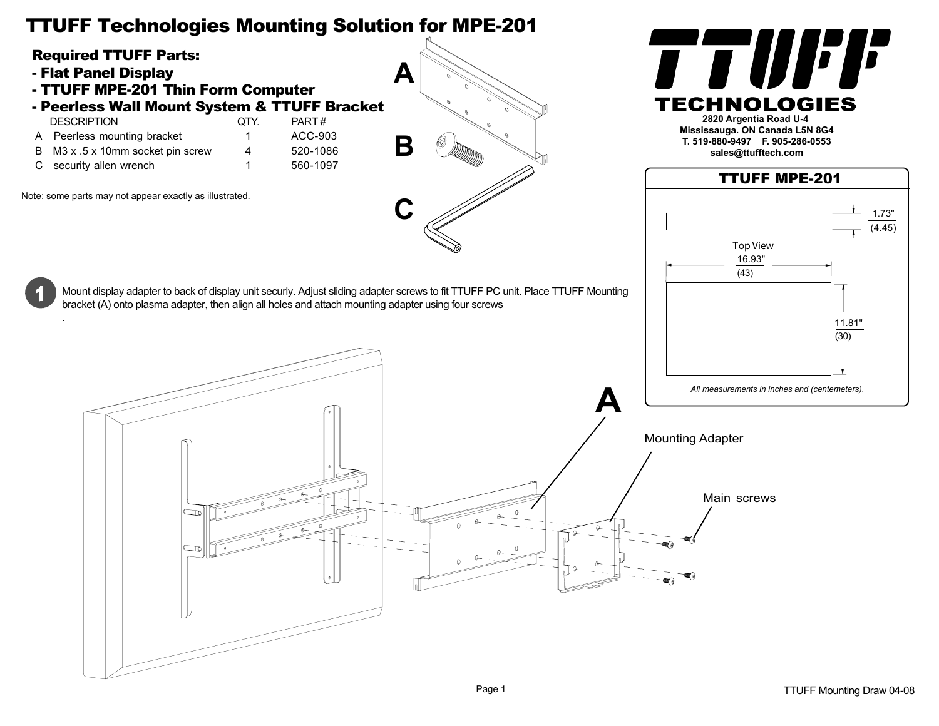## TTUFF Technologies Mounting Solution for MPE-201



- Flat Panel Display

.

- TTUFF MPE-201 Thin Form Computer
- Peerless Wall Mount System & TTUFF Bracket<br>DESCRIPTION OTY PART#
- DESCRIPTION QTY. A Peerless mounting bracket 1 ACC-903

 $\mathbb{R}$ 

- B M3 x .5 x 10mm socket pin screw 4 520-1086
- C security allen wrench 1 560-1097
- 

Note: some parts may not appear exactly as illustrated.





**sales@ttufftech.com**

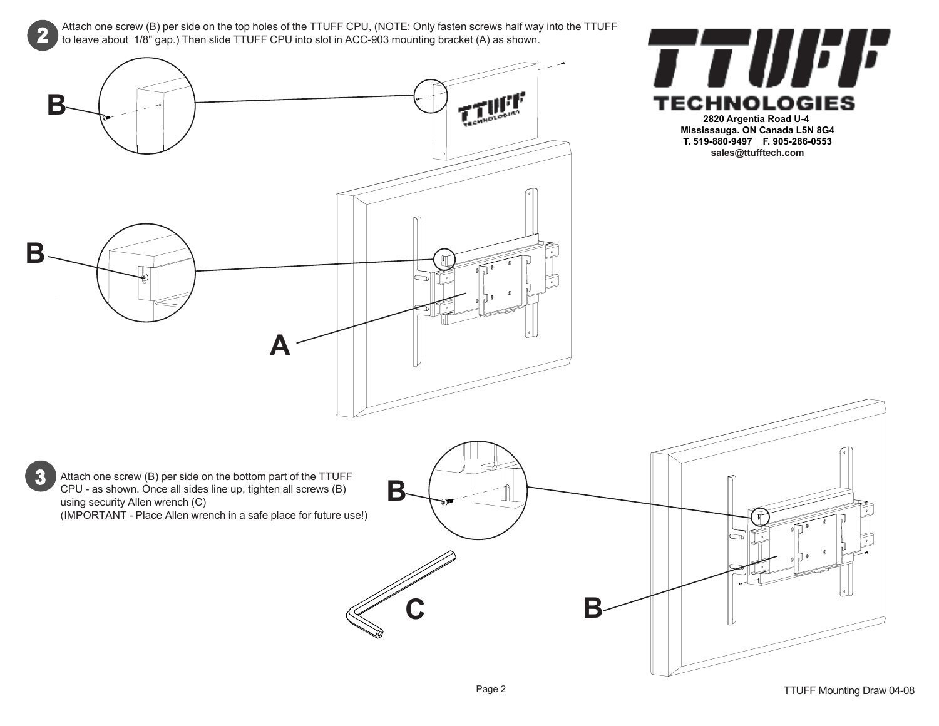Attach one screw (B) per side on the top holes of the TTUFF CPU, (NOTE: Only fasten screws half way into the TTUFF to leave about 1/8" gap.) Then slide TTUFF CPU into slot in ACC-903 mounting bracket (A) as shown.